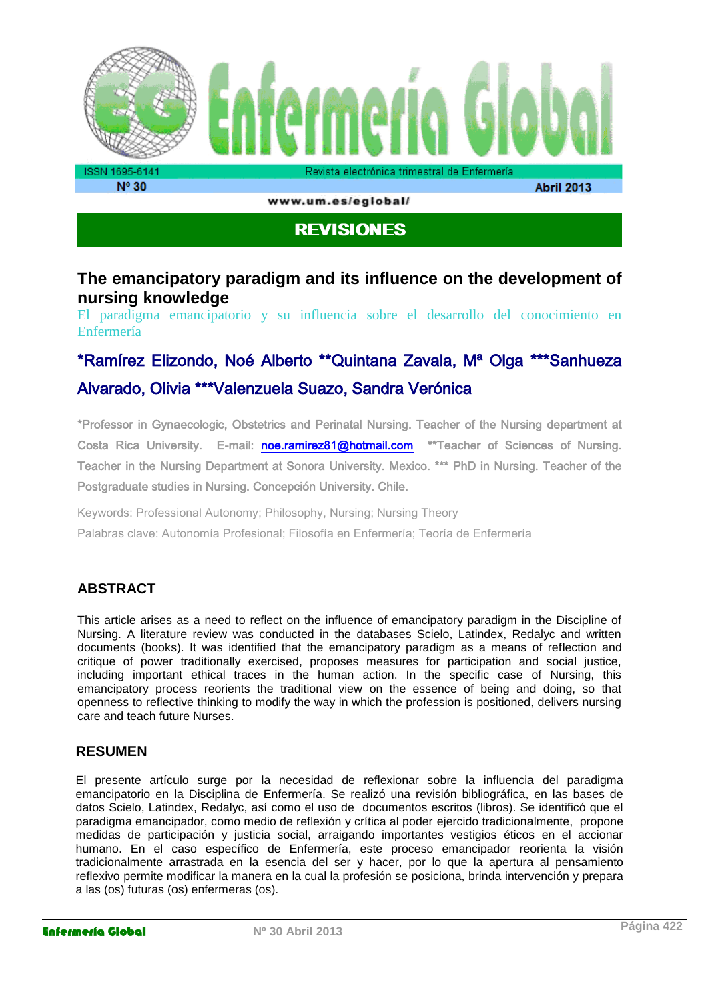

www.um.es/eglobal/

**Abril 2013** 

# **REVISIONES**

# **The emancipatory paradigm and its influence on the development of nursing knowledge**

El paradigma emancipatorio y su influencia sobre el desarrollo del conocimiento en Enfermería

# \*Ramírez Elizondo, Noé Alberto \*\*Quintana Zavala, Mª Olga \*\*\*Sanhueza Alvarado, Olivia \*\*\*Valenzuela Suazo, Sandra Verónica

\*Professor in Gynaecologic, Obstetrics and Perinatal Nursing. Teacher of the Nursing department at Costa Rica University. E-mail: [noe.ramirez81@hotmail.com](mailto:noe.ramirez81@hotmail.com) \*\*Teacher of Sciences of Nursing. Teacher in the Nursing Department at Sonora University. Mexico. \*\*\* PhD in Nursing. Teacher of the Postgraduate studies in Nursing. Concepción University. Chile.

Keywords: Professional Autonomy; Philosophy, Nursing; Nursing Theory Palabras clave: Autonomía Profesional; Filosofía en Enfermería; Teoría de Enfermería

## **ABSTRACT**

This article arises as a need to reflect on the influence of emancipatory paradigm in the Discipline of Nursing. A literature review was conducted in the databases Scielo, Latindex, Redalyc and written documents (books). It was identified that the emancipatory paradigm as a means of reflection and critique of power traditionally exercised, proposes measures for participation and social justice, including important ethical traces in the human action. In the specific case of Nursing, this emancipatory process reorients the traditional view on the essence of being and doing, so that openness to reflective thinking to modify the way in which the profession is positioned, delivers nursing care and teach future Nurses.

#### **RESUMEN**

El presente artículo surge por la necesidad de reflexionar sobre la influencia del paradigma emancipatorio en la Disciplina de Enfermería. Se realizó una revisión bibliográfica, en las bases de datos Scielo, Latindex, Redalyc, así como el uso de documentos escritos (libros). Se identificó que el paradigma emancipador, como medio de reflexión y crítica al poder ejercido tradicionalmente, propone medidas de participación y justicia social, arraigando importantes vestigios éticos en el accionar humano. En el caso específico de Enfermería, este proceso emancipador reorienta la visión tradicionalmente arrastrada en la esencia del ser y hacer, por lo que la apertura al pensamiento reflexivo permite modificar la manera en la cual la profesión se posiciona, brinda intervención y prepara a las (os) futuras (os) enfermeras (os).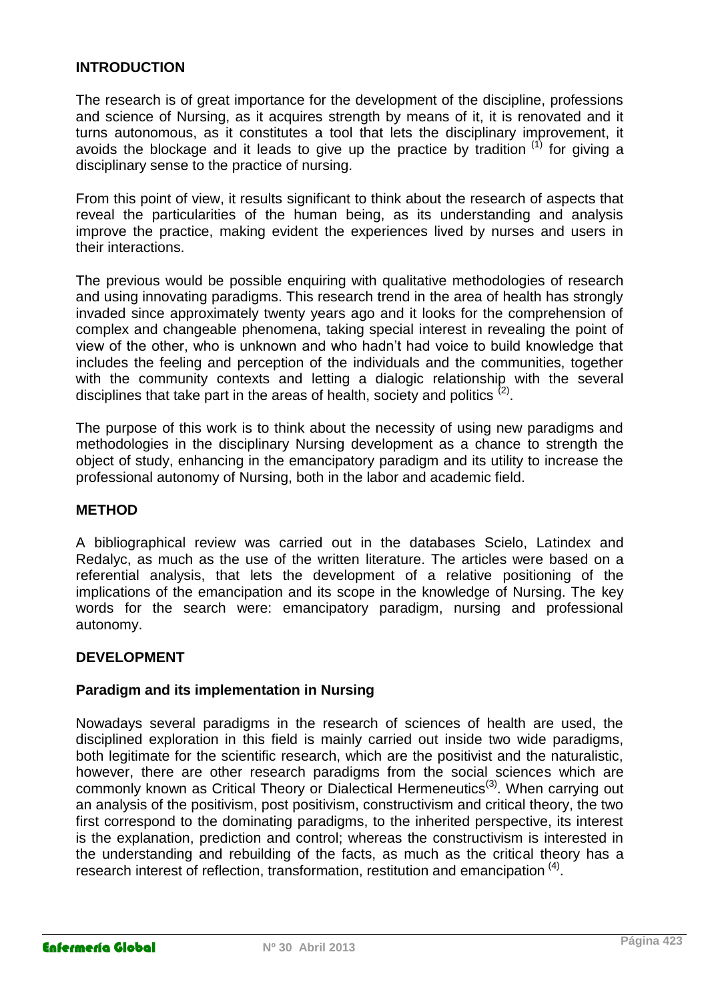#### **INTRODUCTION**

The research is of great importance for the development of the discipline, professions and science of Nursing, as it acquires strength by means of it, it is renovated and it turns autonomous, as it constitutes a tool that lets the disciplinary improvement, it avoids the blockage and it leads to give up the practice by tradition  $(1)$  for giving a disciplinary sense to the practice of nursing.

From this point of view, it results significant to think about the research of aspects that reveal the particularities of the human being, as its understanding and analysis improve the practice, making evident the experiences lived by nurses and users in their interactions.

The previous would be possible enquiring with qualitative methodologies of research and using innovating paradigms. This research trend in the area of health has strongly invaded since approximately twenty years ago and it looks for the comprehension of complex and changeable phenomena, taking special interest in revealing the point of view of the other, who is unknown and who hadn't had voice to build knowledge that includes the feeling and perception of the individuals and the communities, together with the community contexts and letting a dialogic relationship with the several disciplines that take part in the areas of health, society and politics  $(2)$ .

The purpose of this work is to think about the necessity of using new paradigms and methodologies in the disciplinary Nursing development as a chance to strength the object of study, enhancing in the emancipatory paradigm and its utility to increase the professional autonomy of Nursing, both in the labor and academic field.

#### **METHOD**

A bibliographical review was carried out in the databases Scielo, Latindex and Redalyc, as much as the use of the written literature. The articles were based on a referential analysis, that lets the development of a relative positioning of the implications of the emancipation and its scope in the knowledge of Nursing. The key words for the search were: emancipatory paradigm, nursing and professional autonomy.

#### **DEVELOPMENT**

#### **Paradigm and its implementation in Nursing**

Nowadays several paradigms in the research of sciences of health are used, the disciplined exploration in this field is mainly carried out inside two wide paradigms, both legitimate for the scientific research, which are the positivist and the naturalistic, however, there are other research paradigms from the social sciences which are commonly known as Critical Theory or Dialectical Hermeneutics<sup>(3)</sup>. When carrying out an analysis of the positivism, post positivism, constructivism and critical theory, the two first correspond to the dominating paradigms, to the inherited perspective, its interest is the explanation, prediction and control; whereas the constructivism is interested in the understanding and rebuilding of the facts, as much as the critical theory has a research interest of reflection, transformation, restitution and emancipation (4).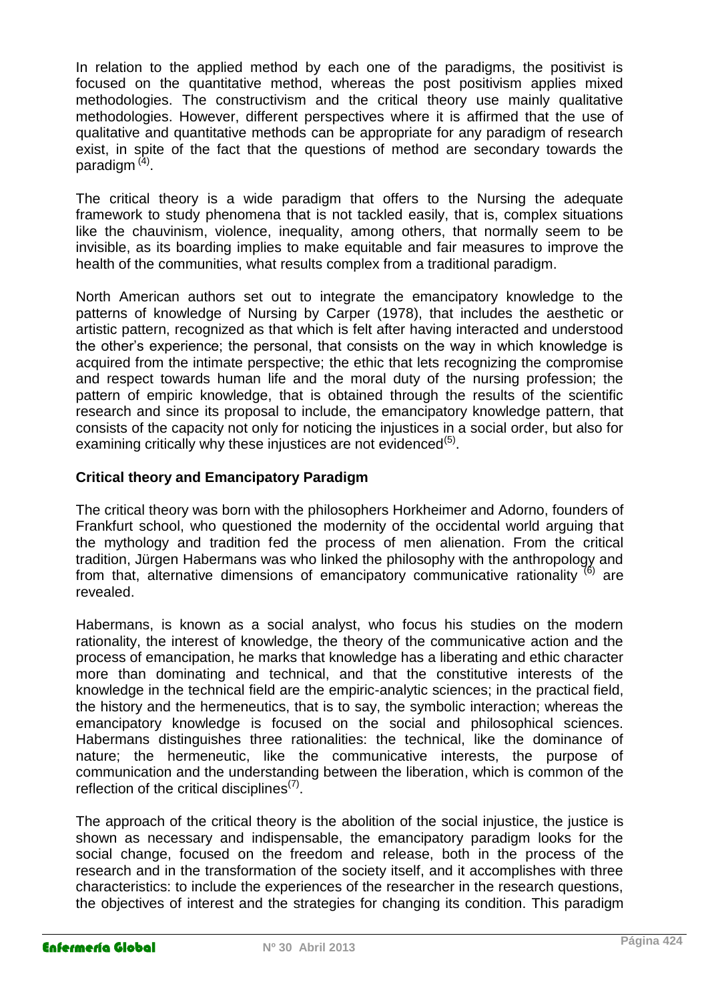In relation to the applied method by each one of the paradigms, the positivist is focused on the quantitative method, whereas the post positivism applies mixed methodologies. The constructivism and the critical theory use mainly qualitative methodologies. However, different perspectives where it is affirmed that the use of qualitative and quantitative methods can be appropriate for any paradigm of research exist, in spite of the fact that the questions of method are secondary towards the paradigm<sup>(4)</sup>.

The critical theory is a wide paradigm that offers to the Nursing the adequate framework to study phenomena that is not tackled easily, that is, complex situations like the chauvinism, violence, inequality, among others, that normally seem to be invisible, as its boarding implies to make equitable and fair measures to improve the health of the communities, what results complex from a traditional paradigm.

North American authors set out to integrate the emancipatory knowledge to the patterns of knowledge of Nursing by Carper (1978), that includes the aesthetic or artistic pattern, recognized as that which is felt after having interacted and understood the other's experience; the personal, that consists on the way in which knowledge is acquired from the intimate perspective; the ethic that lets recognizing the compromise and respect towards human life and the moral duty of the nursing profession; the pattern of empiric knowledge, that is obtained through the results of the scientific research and since its proposal to include, the emancipatory knowledge pattern, that consists of the capacity not only for noticing the injustices in a social order, but also for examining critically why these injustices are not evidenced<sup>(5)</sup>.

#### **Critical theory and Emancipatory Paradigm**

The critical theory was born with the philosophers Horkheimer and Adorno, founders of Frankfurt school, who questioned the modernity of the occidental world arguing that the mythology and tradition fed the process of men alienation. From the critical tradition, Jürgen Habermans was who linked the philosophy with the anthropology and from that, alternative dimensions of emancipatory communicative rationality  $^{(6)}$  are revealed.

Habermans, is known as a social analyst, who focus his studies on the modern rationality, the interest of knowledge, the theory of the communicative action and the process of emancipation, he marks that knowledge has a liberating and ethic character more than dominating and technical, and that the constitutive interests of the knowledge in the technical field are the empiric-analytic sciences; in the practical field, the history and the hermeneutics, that is to say, the symbolic interaction; whereas the emancipatory knowledge is focused on the social and philosophical sciences. Habermans distinguishes three rationalities: the technical, like the dominance of nature; the hermeneutic, like the communicative interests, the purpose of communication and the understanding between the liberation, which is common of the reflection of the critical disciplines<sup>(7)</sup>.

The approach of the critical theory is the abolition of the social injustice, the justice is shown as necessary and indispensable, the emancipatory paradigm looks for the social change, focused on the freedom and release, both in the process of the research and in the transformation of the society itself, and it accomplishes with three characteristics: to include the experiences of the researcher in the research questions, the objectives of interest and the strategies for changing its condition. This paradigm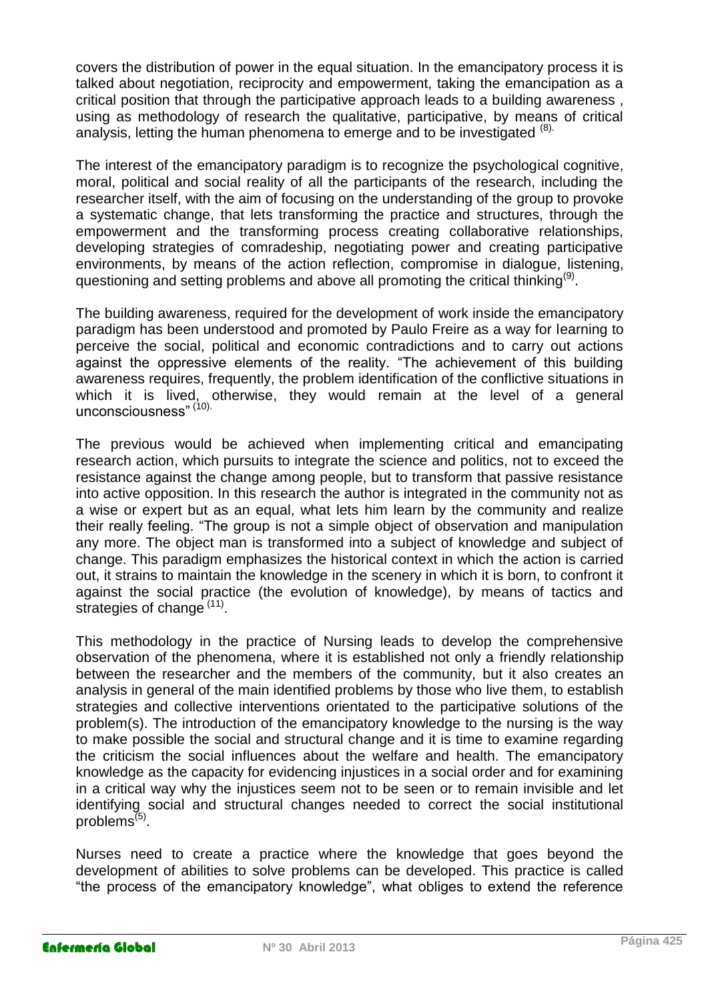covers the distribution of power in the equal situation. In the emancipatory process it is talked about negotiation, reciprocity and empowerment, taking the emancipation as a critical position that through the participative approach leads to a building awareness , using as methodology of research the qualitative, participative, by means of critical analysis, letting the human phenomena to emerge and to be investigated (8).

The interest of the emancipatory paradigm is to recognize the psychological cognitive, moral, political and social reality of all the participants of the research, including the researcher itself, with the aim of focusing on the understanding of the group to provoke a systematic change, that lets transforming the practice and structures, through the empowerment and the transforming process creating collaborative relationships, developing strategies of comradeship, negotiating power and creating participative environments, by means of the action reflection, compromise in dialogue, listening, questioning and setting problems and above all promoting the critical thinking<sup>(9)</sup>.

The building awareness, required for the development of work inside the emancipatory paradigm has been understood and promoted by Paulo Freire as a way for learning to perceive the social, political and economic contradictions and to carry out actions against the oppressive elements of the reality. "The achievement of this building awareness requires, frequently, the problem identification of the conflictive situations in which it is lived, otherwise, they would remain at the level of a general unconsciousness" (10).

The previous would be achieved when implementing critical and emancipating research action, which pursuits to integrate the science and politics, not to exceed the resistance against the change among people, but to transform that passive resistance into active opposition. In this research the author is integrated in the community not as a wise or expert but as an equal, what lets him learn by the community and realize their really feeling. "The group is not a simple object of observation and manipulation any more. The object man is transformed into a subject of knowledge and subject of change. This paradigm emphasizes the historical context in which the action is carried out, it strains to maintain the knowledge in the scenery in which it is born, to confront it against the social practice (the evolution of knowledge), by means of tactics and strategies of change (11).

This methodology in the practice of Nursing leads to develop the comprehensive observation of the phenomena, where it is established not only a friendly relationship between the researcher and the members of the community, but it also creates an analysis in general of the main identified problems by those who live them, to establish strategies and collective interventions orientated to the participative solutions of the problem(s). The introduction of the emancipatory knowledge to the nursing is the way to make possible the social and structural change and it is time to examine regarding the criticism the social influences about the welfare and health. The emancipatory knowledge as the capacity for evidencing injustices in a social order and for examining in a critical way why the injustices seem not to be seen or to remain invisible and let identifying social and structural changes needed to correct the social institutional problems<sup>(5)</sup>.

Nurses need to create a practice where the knowledge that goes beyond the development of abilities to solve problems can be developed. This practice is called "the process of the emancipatory knowledge", what obliges to extend the reference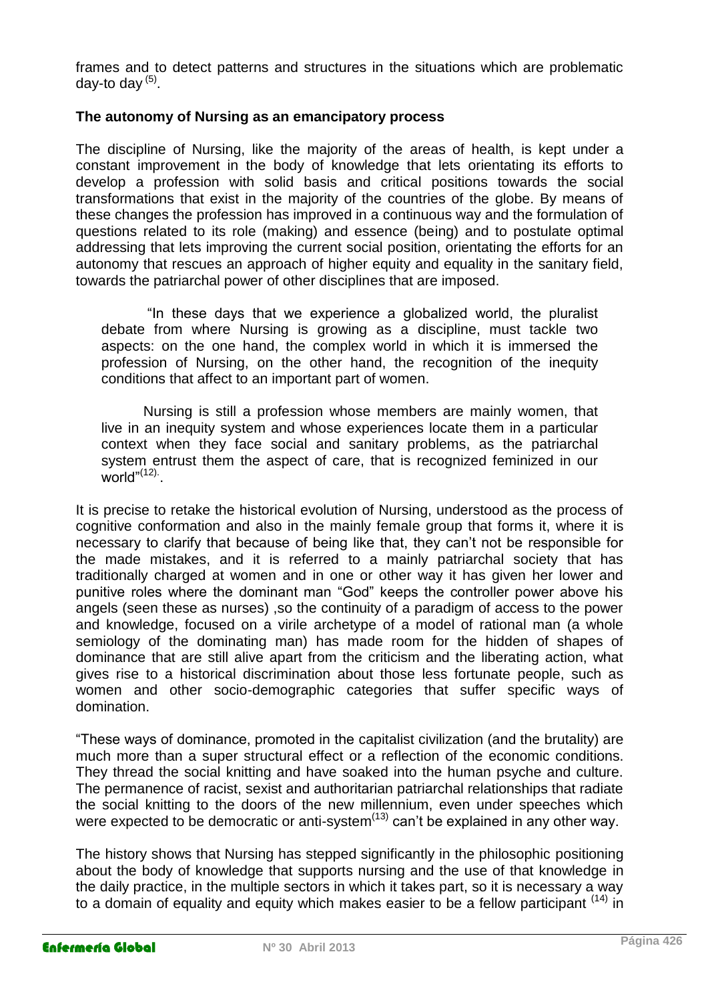frames and to detect patterns and structures in the situations which are problematic day-to day <sup>(5)</sup>.

#### **The autonomy of Nursing as an emancipatory process**

The discipline of Nursing, like the majority of the areas of health, is kept under a constant improvement in the body of knowledge that lets orientating its efforts to develop a profession with solid basis and critical positions towards the social transformations that exist in the majority of the countries of the globe. By means of these changes the profession has improved in a continuous way and the formulation of questions related to its role (making) and essence (being) and to postulate optimal addressing that lets improving the current social position, orientating the efforts for an autonomy that rescues an approach of higher equity and equality in the sanitary field, towards the patriarchal power of other disciplines that are imposed.

"In these days that we experience a globalized world, the pluralist debate from where Nursing is growing as a discipline, must tackle two aspects: on the one hand, the complex world in which it is immersed the profession of Nursing, on the other hand, the recognition of the inequity conditions that affect to an important part of women.

Nursing is still a profession whose members are mainly women, that live in an inequity system and whose experiences locate them in a particular context when they face social and sanitary problems, as the patriarchal system entrust them the aspect of care, that is recognized feminized in our  $word^{\prime(12)}$ .

It is precise to retake the historical evolution of Nursing, understood as the process of cognitive conformation and also in the mainly female group that forms it, where it is necessary to clarify that because of being like that, they can't not be responsible for the made mistakes, and it is referred to a mainly patriarchal society that has traditionally charged at women and in one or other way it has given her lower and punitive roles where the dominant man "God" keeps the controller power above his angels (seen these as nurses) ,so the continuity of a paradigm of access to the power and knowledge, focused on a virile archetype of a model of rational man (a whole semiology of the dominating man) has made room for the hidden of shapes of dominance that are still alive apart from the criticism and the liberating action, what gives rise to a historical discrimination about those less fortunate people, such as women and other socio-demographic categories that suffer specific ways of domination.

"These ways of dominance, promoted in the capitalist civilization (and the brutality) are much more than a super structural effect or a reflection of the economic conditions. They thread the social knitting and have soaked into the human psyche and culture. The permanence of racist, sexist and authoritarian patriarchal relationships that radiate the social knitting to the doors of the new millennium, even under speeches which were expected to be democratic or anti-system $^{(13)}$  can't be explained in any other way.

The history shows that Nursing has stepped significantly in the philosophic positioning about the body of knowledge that supports nursing and the use of that knowledge in the daily practice, in the multiple sectors in which it takes part, so it is necessary a way to a domain of equality and equity which makes easier to be a fellow participant  $(14)$  in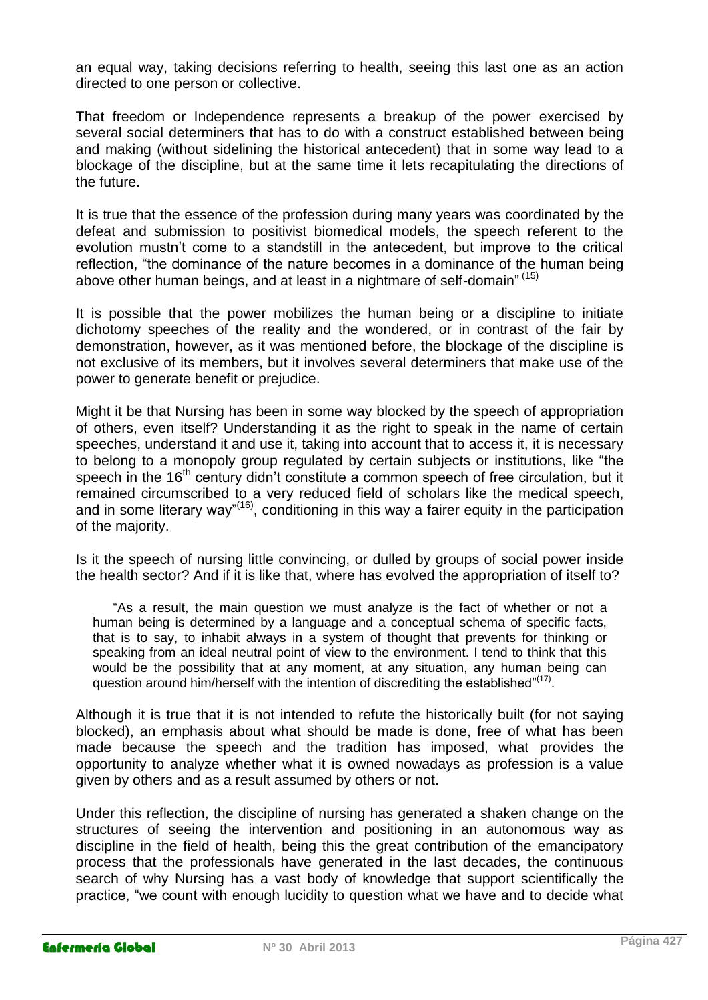an equal way, taking decisions referring to health, seeing this last one as an action directed to one person or collective.

That freedom or Independence represents a breakup of the power exercised by several social determiners that has to do with a construct established between being and making (without sidelining the historical antecedent) that in some way lead to a blockage of the discipline, but at the same time it lets recapitulating the directions of the future.

It is true that the essence of the profession during many years was coordinated by the defeat and submission to positivist biomedical models, the speech referent to the evolution mustn't come to a standstill in the antecedent, but improve to the critical reflection, "the dominance of the nature becomes in a dominance of the human being above other human beings, and at least in a nightmare of self-domain" <sup>(15)</sup>

It is possible that the power mobilizes the human being or a discipline to initiate dichotomy speeches of the reality and the wondered, or in contrast of the fair by demonstration, however, as it was mentioned before, the blockage of the discipline is not exclusive of its members, but it involves several determiners that make use of the power to generate benefit or prejudice.

Might it be that Nursing has been in some way blocked by the speech of appropriation of others, even itself? Understanding it as the right to speak in the name of certain speeches, understand it and use it, taking into account that to access it, it is necessary to belong to a monopoly group regulated by certain subjects or institutions, like "the speech in the 16<sup>th</sup> century didn't constitute a common speech of free circulation, but it remained circumscribed to a very reduced field of scholars like the medical speech, and in some literary way"<sup>(16)</sup>, conditioning in this way a fairer equity in the participation of the majority.

Is it the speech of nursing little convincing, or dulled by groups of social power inside the health sector? And if it is like that, where has evolved the appropriation of itself to?

"As a result, the main question we must analyze is the fact of whether or not a human being is determined by a language and a conceptual schema of specific facts, that is to say, to inhabit always in a system of thought that prevents for thinking or speaking from an ideal neutral point of view to the environment. I tend to think that this would be the possibility that at any moment, at any situation, any human being can question around him/herself with the intention of discrediting the established"<sup>(17)</sup>.

Although it is true that it is not intended to refute the historically built (for not saying blocked), an emphasis about what should be made is done, free of what has been made because the speech and the tradition has imposed, what provides the opportunity to analyze whether what it is owned nowadays as profession is a value given by others and as a result assumed by others or not.

Under this reflection, the discipline of nursing has generated a shaken change on the structures of seeing the intervention and positioning in an autonomous way as discipline in the field of health, being this the great contribution of the emancipatory process that the professionals have generated in the last decades, the continuous search of why Nursing has a vast body of knowledge that support scientifically the practice, "we count with enough lucidity to question what we have and to decide what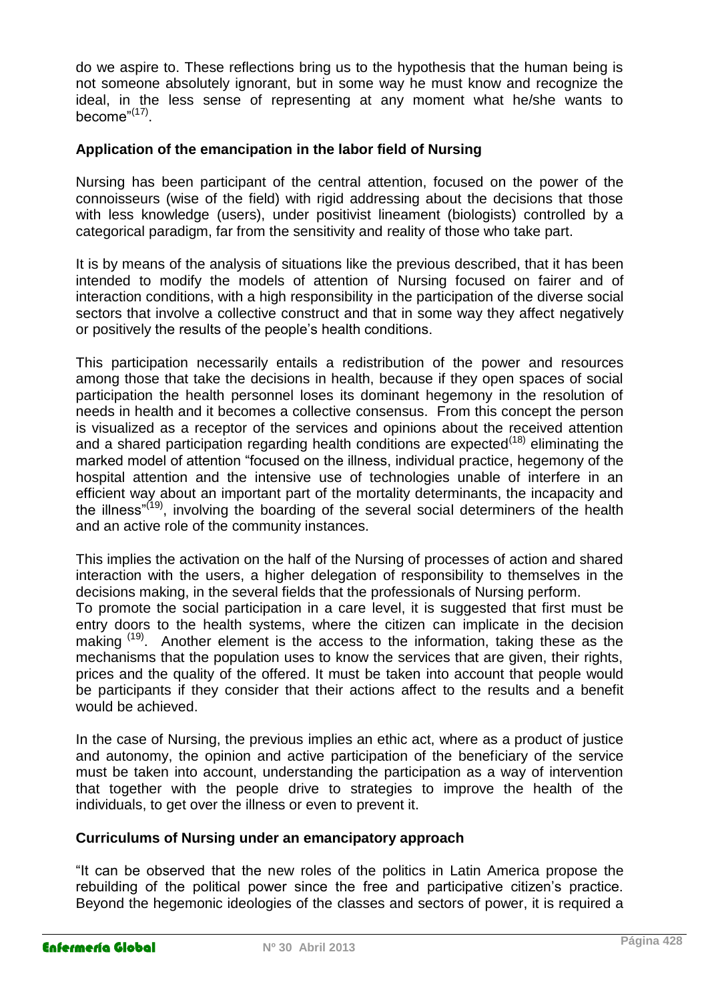do we aspire to. These reflections bring us to the hypothesis that the human being is not someone absolutely ignorant, but in some way he must know and recognize the ideal, in the less sense of representing at any moment what he/she wants to become"<sup>(17)</sup>.

#### **Application of the emancipation in the labor field of Nursing**

Nursing has been participant of the central attention, focused on the power of the connoisseurs (wise of the field) with rigid addressing about the decisions that those with less knowledge (users), under positivist lineament (biologists) controlled by a categorical paradigm, far from the sensitivity and reality of those who take part.

It is by means of the analysis of situations like the previous described, that it has been intended to modify the models of attention of Nursing focused on fairer and of interaction conditions, with a high responsibility in the participation of the diverse social sectors that involve a collective construct and that in some way they affect negatively or positively the results of the people's health conditions.

This participation necessarily entails a redistribution of the power and resources among those that take the decisions in health, because if they open spaces of social participation the health personnel loses its dominant hegemony in the resolution of needs in health and it becomes a collective consensus. From this concept the person is visualized as a receptor of the services and opinions about the received attention and a shared participation regarding health conditions are expected<sup> $(18)$ </sup> eliminating the marked model of attention "focused on the illness, individual practice, hegemony of the hospital attention and the intensive use of technologies unable of interfere in an efficient way about an important part of the mortality determinants, the incapacity and the illness<sup>"(19)</sup>, involving the boarding of the several social determiners of the health and an active role of the community instances.

This implies the activation on the half of the Nursing of processes of action and shared interaction with the users, a higher delegation of responsibility to themselves in the decisions making, in the several fields that the professionals of Nursing perform.

To promote the social participation in a care level, it is suggested that first must be entry doors to the health systems, where the citizen can implicate in the decision making <sup>(19)</sup>. Another element is the access to the information, taking these as the mechanisms that the population uses to know the services that are given, their rights, prices and the quality of the offered. It must be taken into account that people would be participants if they consider that their actions affect to the results and a benefit would be achieved.

In the case of Nursing, the previous implies an ethic act, where as a product of justice and autonomy, the opinion and active participation of the beneficiary of the service must be taken into account, understanding the participation as a way of intervention that together with the people drive to strategies to improve the health of the individuals, to get over the illness or even to prevent it.

#### **Curriculums of Nursing under an emancipatory approach**

"It can be observed that the new roles of the politics in Latin America propose the rebuilding of the political power since the free and participative citizen's practice. Beyond the hegemonic ideologies of the classes and sectors of power, it is required a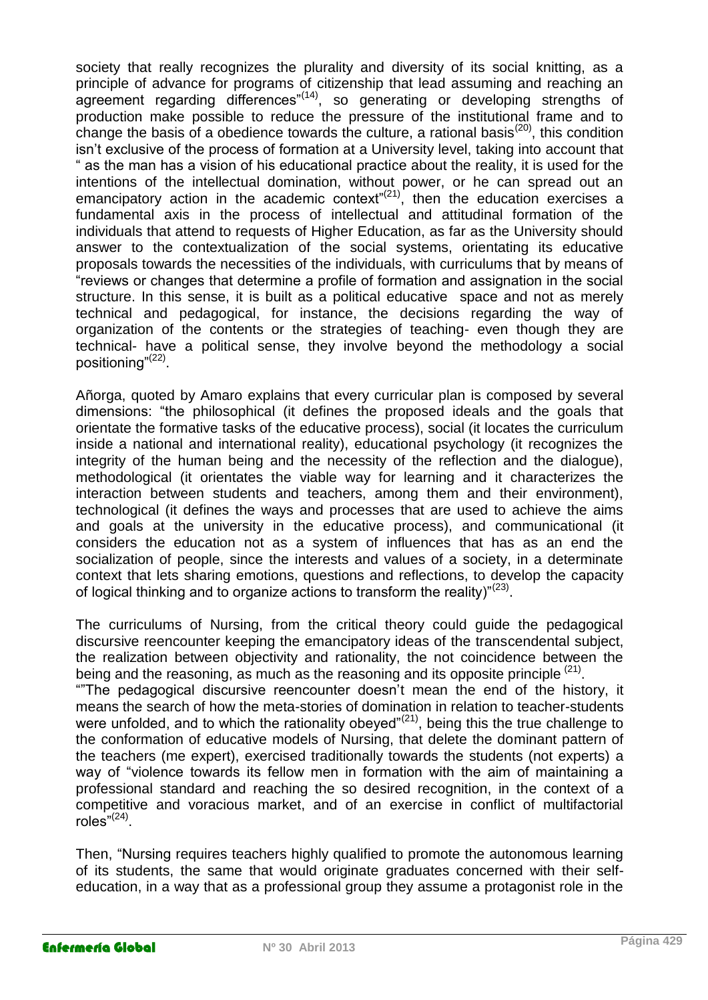society that really recognizes the plurality and diversity of its social knitting, as a principle of advance for programs of citizenship that lead assuming and reaching an agreement regarding differences"<sup>(14)</sup>, so generating or developing strengths of production make possible to reduce the pressure of the institutional frame and to change the basis of a obedience towards the culture, a rational basis<sup>(20)</sup>, this condition isn't exclusive of the process of formation at a University level, taking into account that " as the man has a vision of his educational practice about the reality, it is used for the intentions of the intellectual domination, without power, or he can spread out an emancipatory action in the academic context" $(21)$ , then the education exercises a fundamental axis in the process of intellectual and attitudinal formation of the individuals that attend to requests of Higher Education, as far as the University should answer to the contextualization of the social systems, orientating its educative proposals towards the necessities of the individuals, with curriculums that by means of "reviews or changes that determine a profile of formation and assignation in the social structure. In this sense, it is built as a political educative space and not as merely technical and pedagogical, for instance, the decisions regarding the way of organization of the contents or the strategies of teaching- even though they are technical- have a political sense, they involve beyond the methodology a social positioning"<sup>(22)</sup>.

Añorga, quoted by Amaro explains that every curricular plan is composed by several dimensions: "the philosophical (it defines the proposed ideals and the goals that orientate the formative tasks of the educative process), social (it locates the curriculum inside a national and international reality), educational psychology (it recognizes the integrity of the human being and the necessity of the reflection and the dialogue), methodological (it orientates the viable way for learning and it characterizes the interaction between students and teachers, among them and their environment), technological (it defines the ways and processes that are used to achieve the aims and goals at the university in the educative process), and communicational (it considers the education not as a system of influences that has as an end the socialization of people, since the interests and values of a society, in a determinate context that lets sharing emotions, questions and reflections, to develop the capacity of logical thinking and to organize actions to transform the reality)"<sup>(23)</sup>.

The curriculums of Nursing, from the critical theory could guide the pedagogical discursive reencounter keeping the emancipatory ideas of the transcendental subject, the realization between objectivity and rationality, the not coincidence between the being and the reasoning, as much as the reasoning and its opposite principle  $(21)$ .

""The pedagogical discursive reencounter doesn't mean the end of the history, it means the search of how the meta-stories of domination in relation to teacher-students were unfolded, and to which the rationality obeyed" $(21)$ , being this the true challenge to the conformation of educative models of Nursing, that delete the dominant pattern of the teachers (me expert), exercised traditionally towards the students (not experts) a way of "violence towards its fellow men in formation with the aim of maintaining a professional standard and reaching the so desired recognition, in the context of a competitive and voracious market, and of an exercise in conflict of multifactorial roles" $^{(24)}$ .

Then, "Nursing requires teachers highly qualified to promote the autonomous learning of its students, the same that would originate graduates concerned with their selfeducation, in a way that as a professional group they assume a protagonist role in the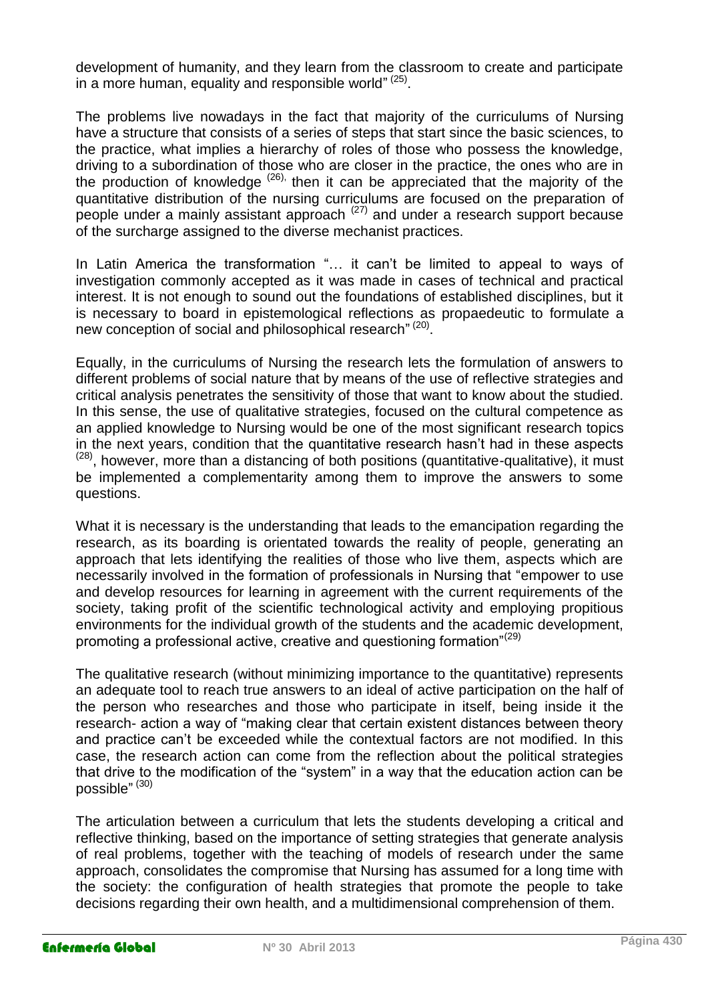development of humanity, and they learn from the classroom to create and participate in a more human, equality and responsible world" (25).

The problems live nowadays in the fact that majority of the curriculums of Nursing have a structure that consists of a series of steps that start since the basic sciences, to the practice, what implies a hierarchy of roles of those who possess the knowledge, driving to a subordination of those who are closer in the practice, the ones who are in the production of knowledge  $(26)$ , then it can be appreciated that the majority of the quantitative distribution of the nursing curriculums are focused on the preparation of people under a mainly assistant approach  $(27)$  and under a research support because of the surcharge assigned to the diverse mechanist practices.

In Latin America the transformation "… it can't be limited to appeal to ways of investigation commonly accepted as it was made in cases of technical and practical interest. It is not enough to sound out the foundations of established disciplines, but it is necessary to board in epistemological reflections as propaedeutic to formulate a new conception of social and philosophical research" (20).

Equally, in the curriculums of Nursing the research lets the formulation of answers to different problems of social nature that by means of the use of reflective strategies and critical analysis penetrates the sensitivity of those that want to know about the studied. In this sense, the use of qualitative strategies, focused on the cultural competence as an applied knowledge to Nursing would be one of the most significant research topics in the next years, condition that the quantitative research hasn't had in these aspects  $(28)$ , however, more than a distancing of both positions (quantitative-qualitative), it must be implemented a complementarity among them to improve the answers to some questions.

What it is necessary is the understanding that leads to the emancipation regarding the research, as its boarding is orientated towards the reality of people, generating an approach that lets identifying the realities of those who live them, aspects which are necessarily involved in the formation of professionals in Nursing that "empower to use and develop resources for learning in agreement with the current requirements of the society, taking profit of the scientific technological activity and employing propitious environments for the individual growth of the students and the academic development, promoting a professional active, creative and questioning formation"<sup>(29)</sup>

The qualitative research (without minimizing importance to the quantitative) represents an adequate tool to reach true answers to an ideal of active participation on the half of the person who researches and those who participate in itself, being inside it the research- action a way of "making clear that certain existent distances between theory and practice can't be exceeded while the contextual factors are not modified. In this case, the research action can come from the reflection about the political strategies that drive to the modification of the "system" in a way that the education action can be possible" <sup>(30)</sup>

The articulation between a curriculum that lets the students developing a critical and reflective thinking, based on the importance of setting strategies that generate analysis of real problems, together with the teaching of models of research under the same approach, consolidates the compromise that Nursing has assumed for a long time with the society: the configuration of health strategies that promote the people to take decisions regarding their own health, and a multidimensional comprehension of them.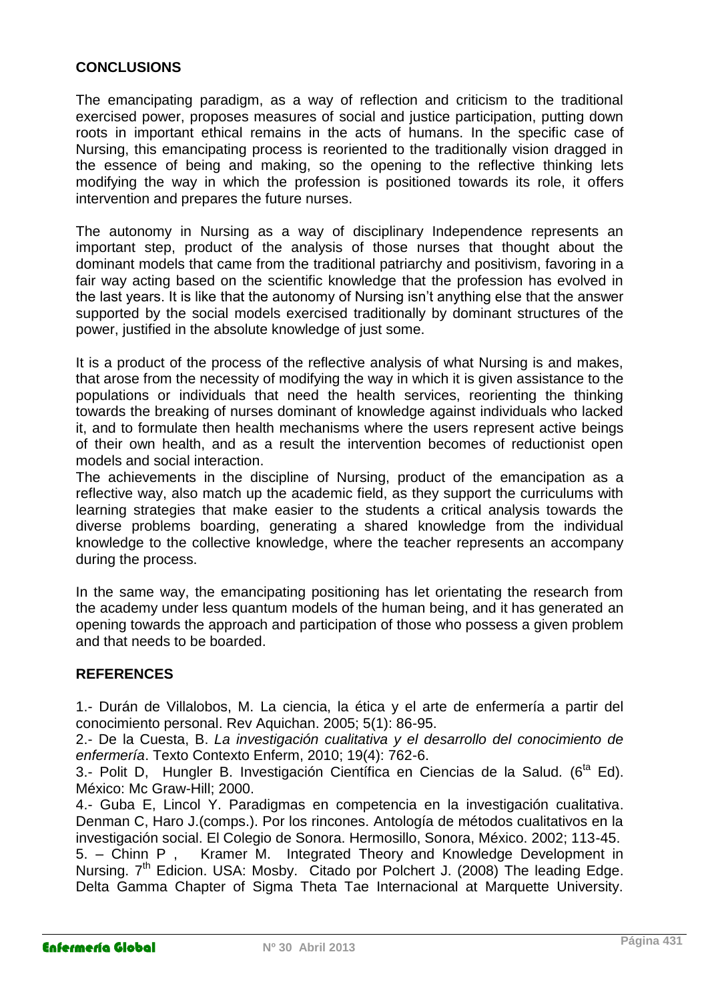#### **CONCLUSIONS**

The emancipating paradigm, as a way of reflection and criticism to the traditional exercised power, proposes measures of social and justice participation, putting down roots in important ethical remains in the acts of humans. In the specific case of Nursing, this emancipating process is reoriented to the traditionally vision dragged in the essence of being and making, so the opening to the reflective thinking lets modifying the way in which the profession is positioned towards its role, it offers intervention and prepares the future nurses.

The autonomy in Nursing as a way of disciplinary Independence represents an important step, product of the analysis of those nurses that thought about the dominant models that came from the traditional patriarchy and positivism, favoring in a fair way acting based on the scientific knowledge that the profession has evolved in the last years. It is like that the autonomy of Nursing isn't anything else that the answer supported by the social models exercised traditionally by dominant structures of the power, justified in the absolute knowledge of just some.

It is a product of the process of the reflective analysis of what Nursing is and makes, that arose from the necessity of modifying the way in which it is given assistance to the populations or individuals that need the health services, reorienting the thinking towards the breaking of nurses dominant of knowledge against individuals who lacked it, and to formulate then health mechanisms where the users represent active beings of their own health, and as a result the intervention becomes of reductionist open models and social interaction.

The achievements in the discipline of Nursing, product of the emancipation as a reflective way, also match up the academic field, as they support the curriculums with learning strategies that make easier to the students a critical analysis towards the diverse problems boarding, generating a shared knowledge from the individual knowledge to the collective knowledge, where the teacher represents an accompany during the process.

In the same way, the emancipating positioning has let orientating the research from the academy under less quantum models of the human being, and it has generated an opening towards the approach and participation of those who possess a given problem and that needs to be boarded.

#### **REFERENCES**

1.- Durán de Villalobos, M. La ciencia, la ética y el arte de enfermería a partir del conocimiento personal. Rev Aquichan. 2005; 5(1): 86-95.

2.- De la Cuesta, B. *La investigación cualitativa y el desarrollo del conocimiento de enfermería*. Texto Contexto Enferm, 2010; 19(4): 762-6.

3.- Polit D, Hungler B. Investigación Científica en Ciencias de la Salud*.* (6ta Ed). México: Mc Graw-Hill; 2000.

4.- Guba E, Lincol Y. Paradigmas en competencia en la investigación cualitativa. Denman C, Haro J.(comps.). Por los rincones. Antología de métodos cualitativos en la investigación social. El Colegio de Sonora. Hermosillo, Sonora, México. 2002; 113-45.

5. – Chinn P , Kramer M. Integrated Theory and Knowledge Development in Nursing. 7<sup>th</sup> Edicion. USA: Mosby. Citado por Polchert J. (2008) The leading Edge. Delta Gamma Chapter of Sigma Theta Tae Internacional at Marquette University.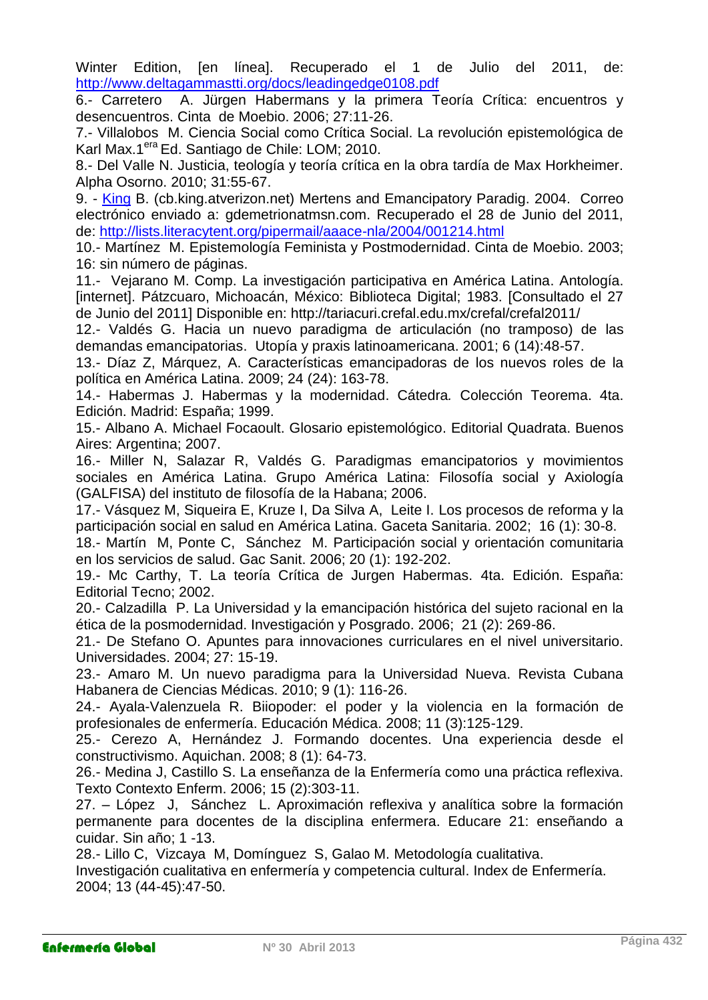Winter Edition, [en línea]. Recuperado el 1 de Julio del 2011, de: <http://www.deltagammastti.org/docs/leadingedge0108.pdf>

6.- Carretero A. Jürgen Habermans y la primera Teoría Crítica: encuentros y desencuentros. Cinta de Moebio. 2006; 27:11-26.

7.- Villalobos M. Ciencia Social como Crítica Social. La revolución epistemológica de Karl Max.1<sup>era</sup> Ed. Santiago de Chile: LOM; 2010.

8.- Del Valle N. Justicia, teología y teoría crítica en la obra tardía de Max Horkheimer. Alpha Osorno. 2010; 31:55-67.

9. - King B. (cb.king.atverizon.net) Mertens and Emancipatory Paradig. 2004. Correo electrónico enviado a: gdemetrionatmsn.com. Recuperado el 28 de Junio del 2011, de:<http://lists.literacytent.org/pipermail/aaace-nla/2004/001214.html>

10.- Martínez M. Epistemología Feminista y Postmodernidad. Cinta de Moebio. 2003; 16: sin número de páginas.

11.- Vejarano M. Comp. La investigación participativa en América Latina. Antología. [internet]. Pátzcuaro, Michoacán, México: Biblioteca Digital; 1983. [Consultado el 27 de Junio del 2011] Disponible en: http://tariacuri.crefal.edu.mx/crefal/crefal2011/

12.- Valdés G. Hacia un nuevo paradigma de articulación (no tramposo) de las demandas emancipatorias. Utopía y praxis latinoamericana. 2001; 6 (14):48-57.

13.- Díaz Z, Márquez, A. Características emancipadoras de los nuevos roles de la política en América Latina. 2009; 24 (24): 163-78.

14.- Habermas J. Habermas y la modernidad. Cátedra*.* Colección Teorema. 4ta. Edición. Madrid: España; 1999.

15.- Albano A. Michael Focaoult. Glosario epistemológico. Editorial Quadrata. Buenos Aires: Argentina; 2007.

16.- Miller N, Salazar R, Valdés G. Paradigmas emancipatorios y movimientos sociales en América Latina. Grupo América Latina: Filosofía social y Axiología (GALFISA) del instituto de filosofía de la Habana; 2006.

17.- Vásquez M, Siqueira E, Kruze I, Da Silva A, Leite I. Los procesos de reforma y la participación social en salud en América Latina. Gaceta Sanitaria. 2002; 16 (1): 30-8.

18.- Martín M, Ponte C, Sánchez M. Participación social y orientación comunitaria en los servicios de salud. Gac Sanit. 2006; 20 (1): 192-202.

19.- Mc Carthy, T. La teoría Crítica de Jurgen Habermas. 4ta. Edición. España: Editorial Tecno; 2002.

20.- Calzadilla P. La Universidad y la emancipación histórica del sujeto racional en la ética de la posmodernidad. Investigación y Posgrado. 2006; 21 (2): 269-86.

21.- De Stefano O. Apuntes para innovaciones curriculares en el nivel universitario. Universidades. 2004; 27: 15-19.

23.- Amaro M. Un nuevo paradigma para la Universidad Nueva. Revista Cubana Habanera de Ciencias Médicas. 2010; 9 (1): 116-26.

24.- Ayala-Valenzuela R. Biiopoder: el poder y la violencia en la formación de profesionales de enfermería. Educación Médica. 2008; 11 (3):125-129.

25.- Cerezo A, Hernández J. Formando docentes. Una experiencia desde el constructivismo. Aquichan. 2008; 8 (1): 64-73.

26.- Medina J, Castillo S. La enseñanza de la Enfermería como una práctica reflexiva. Texto Contexto Enferm. 2006; 15 (2):303-11.

27. – López J, Sánchez L. Aproximación reflexiva y analítica sobre la formación permanente para docentes de la disciplina enfermera. Educare 21: enseñando a cuidar. Sin año; 1 -13.

28.- Lillo C, Vizcaya M, Domínguez S, Galao M. Metodología cualitativa.

Investigación cualitativa en enfermería y competencia cultural. Index de Enfermería. 2004; 13 (44-45):47-50.